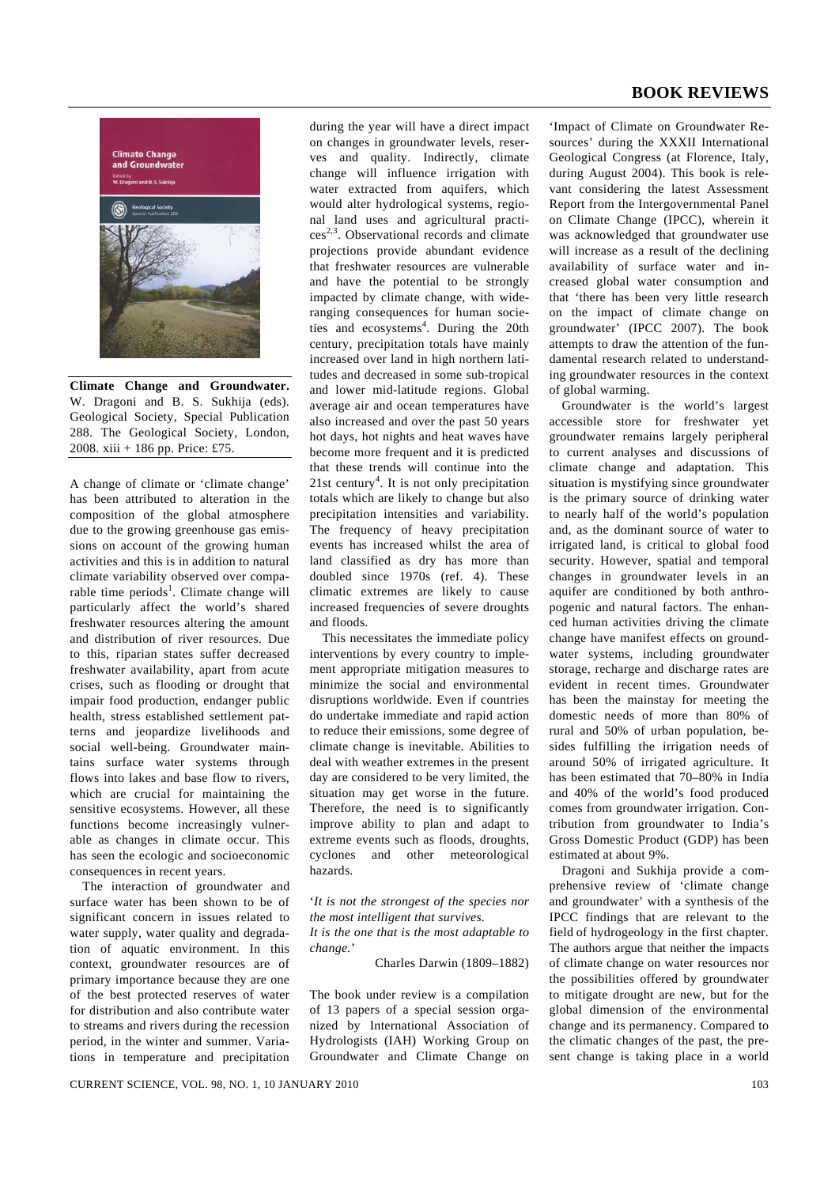

**Climate Change and Groundwater.**  W. Dragoni and B. S. Sukhija (eds). Geological Society, Special Publication 288. The Geological Society, London, 2008. xiii + 186 pp. Price: £75.

A change of climate or 'climate change' has been attributed to alteration in the composition of the global atmosphere due to the growing greenhouse gas emissions on account of the growing human activities and this is in addition to natural climate variability observed over comparable time periods<sup>1</sup>. Climate change will particularly affect the world's shared freshwater resources altering the amount and distribution of river resources. Due to this, riparian states suffer decreased freshwater availability, apart from acute crises, such as flooding or drought that impair food production, endanger public health, stress established settlement patterns and jeopardize livelihoods and social well-being. Groundwater maintains surface water systems through flows into lakes and base flow to rivers, which are crucial for maintaining the sensitive ecosystems. However, all these functions become increasingly vulnerable as changes in climate occur. This has seen the ecologic and socioeconomic consequences in recent years.

 The interaction of groundwater and surface water has been shown to be of significant concern in issues related to water supply, water quality and degradation of aquatic environment. In this context, groundwater resources are of primary importance because they are one of the best protected reserves of water for distribution and also contribute water to streams and rivers during the recession period, in the winter and summer. Variations in temperature and precipitation during the year will have a direct impact on changes in groundwater levels, reserves and quality. Indirectly, climate change will influence irrigation with water extracted from aquifers, which would alter hydrological systems, regional land uses and agricultural practi $ces<sup>2,3</sup>$ . Observational records and climate projections provide abundant evidence that freshwater resources are vulnerable and have the potential to be strongly impacted by climate change, with wideranging consequences for human societies and ecosystems<sup>4</sup>. During the 20th century, precipitation totals have mainly increased over land in high northern latitudes and decreased in some sub-tropical and lower mid-latitude regions. Global average air and ocean temperatures have also increased and over the past 50 years hot days, hot nights and heat waves have become more frequent and it is predicted that these trends will continue into the 21st century<sup>4</sup>. It is not only precipitation totals which are likely to change but also precipitation intensities and variability. The frequency of heavy precipitation events has increased whilst the area of land classified as dry has more than doubled since 1970s (ref. 4). These climatic extremes are likely to cause increased frequencies of severe droughts and floods.

 This necessitates the immediate policy interventions by every country to implement appropriate mitigation measures to minimize the social and environmental disruptions worldwide. Even if countries do undertake immediate and rapid action to reduce their emissions, some degree of climate change is inevitable. Abilities to deal with weather extremes in the present day are considered to be very limited, the situation may get worse in the future. Therefore, the need is to significantly improve ability to plan and adapt to extreme events such as floods, droughts, cyclones and other meteorological hazards.

'*It is not the strongest of the species nor the most intelligent that survives. It is the one that is the most adaptable to change.*'

Charles Darwin (1809–1882)

The book under review is a compilation of 13 papers of a special session organized by International Association of Hydrologists (IAH) Working Group on Groundwater and Climate Change on

'Impact of Climate on Groundwater Resources' during the XXXII International Geological Congress (at Florence, Italy, during August 2004). This book is relevant considering the latest Assessment Report from the Intergovernmental Panel on Climate Change (IPCC), wherein it was acknowledged that groundwater use will increase as a result of the declining availability of surface water and increased global water consumption and that 'there has been very little research on the impact of climate change on groundwater' (IPCC 2007). The book attempts to draw the attention of the fundamental research related to understanding groundwater resources in the context of global warming.

 Groundwater is the world's largest accessible store for freshwater yet groundwater remains largely peripheral to current analyses and discussions of climate change and adaptation. This situation is mystifying since groundwater is the primary source of drinking water to nearly half of the world's population and, as the dominant source of water to irrigated land, is critical to global food security. However, spatial and temporal changes in groundwater levels in an aquifer are conditioned by both anthropogenic and natural factors. The enhanced human activities driving the climate change have manifest effects on groundwater systems, including groundwater storage, recharge and discharge rates are evident in recent times. Groundwater has been the mainstay for meeting the domestic needs of more than 80% of rural and 50% of urban population, besides fulfilling the irrigation needs of around 50% of irrigated agriculture. It has been estimated that 70–80% in India and 40% of the world's food produced comes from groundwater irrigation. Contribution from groundwater to India's Gross Domestic Product (GDP) has been estimated at about 9%.

 Dragoni and Sukhija provide a comprehensive review of 'climate change and groundwater' with a synthesis of the IPCC findings that are relevant to the field of hydrogeology in the first chapter. The authors argue that neither the impacts of climate change on water resources nor the possibilities offered by groundwater to mitigate drought are new, but for the global dimension of the environmental change and its permanency. Compared to the climatic changes of the past, the present change is taking place in a world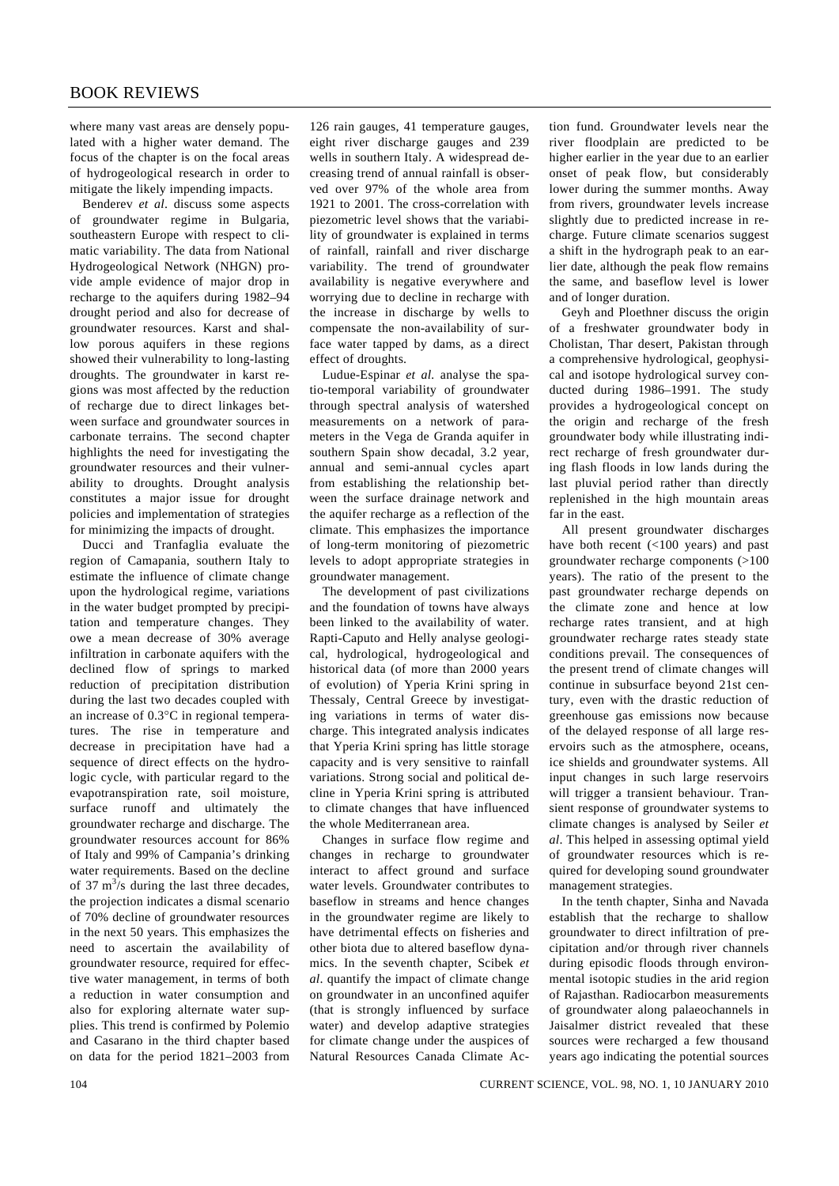where many vast areas are densely populated with a higher water demand. The focus of the chapter is on the focal areas of hydrogeological research in order to mitigate the likely impending impacts.

 Benderev *et al*. discuss some aspects of groundwater regime in Bulgaria, southeastern Europe with respect to climatic variability. The data from National Hydrogeological Network (NHGN) provide ample evidence of major drop in recharge to the aquifers during 1982–94 drought period and also for decrease of groundwater resources. Karst and shallow porous aquifers in these regions showed their vulnerability to long-lasting droughts. The groundwater in karst regions was most affected by the reduction of recharge due to direct linkages between surface and groundwater sources in carbonate terrains. The second chapter highlights the need for investigating the groundwater resources and their vulnerability to droughts. Drought analysis constitutes a major issue for drought policies and implementation of strategies for minimizing the impacts of drought.

 Ducci and Tranfaglia evaluate the region of Camapania, southern Italy to estimate the influence of climate change upon the hydrological regime, variations in the water budget prompted by precipitation and temperature changes. They owe a mean decrease of 30% average infiltration in carbonate aquifers with the declined flow of springs to marked reduction of precipitation distribution during the last two decades coupled with an increase of 0.3°C in regional temperatures. The rise in temperature and decrease in precipitation have had a sequence of direct effects on the hydrologic cycle, with particular regard to the evapotranspiration rate, soil moisture, surface runoff and ultimately the groundwater recharge and discharge. The groundwater resources account for 86% of Italy and 99% of Campania's drinking water requirements. Based on the decline of 37  $\text{m}^3$ /s during the last three decades, the projection indicates a dismal scenario of 70% decline of groundwater resources in the next 50 years. This emphasizes the need to ascertain the availability of groundwater resource, required for effective water management, in terms of both a reduction in water consumption and also for exploring alternate water supplies. This trend is confirmed by Polemio and Casarano in the third chapter based on data for the period 1821–2003 from

126 rain gauges, 41 temperature gauges, eight river discharge gauges and 239 wells in southern Italy. A widespread decreasing trend of annual rainfall is observed over 97% of the whole area from 1921 to 2001. The cross-correlation with piezometric level shows that the variability of groundwater is explained in terms of rainfall, rainfall and river discharge variability. The trend of groundwater availability is negative everywhere and worrying due to decline in recharge with the increase in discharge by wells to compensate the non-availability of surface water tapped by dams, as a direct effect of droughts.

 Ludue-Espinar *et al.* analyse the spatio-temporal variability of groundwater through spectral analysis of watershed measurements on a network of parameters in the Vega de Granda aquifer in southern Spain show decadal, 3.2 year, annual and semi-annual cycles apart from establishing the relationship between the surface drainage network and the aquifer recharge as a reflection of the climate. This emphasizes the importance of long-term monitoring of piezometric levels to adopt appropriate strategies in groundwater management.

 The development of past civilizations and the foundation of towns have always been linked to the availability of water. Rapti-Caputo and Helly analyse geological, hydrological, hydrogeological and historical data (of more than 2000 years of evolution) of Yperia Krini spring in Thessaly, Central Greece by investigating variations in terms of water discharge. This integrated analysis indicates that Yperia Krini spring has little storage capacity and is very sensitive to rainfall variations. Strong social and political decline in Yperia Krini spring is attributed to climate changes that have influenced the whole Mediterranean area.

 Changes in surface flow regime and changes in recharge to groundwater interact to affect ground and surface water levels. Groundwater contributes to baseflow in streams and hence changes in the groundwater regime are likely to have detrimental effects on fisheries and other biota due to altered baseflow dynamics. In the seventh chapter, Scibek *et al*. quantify the impact of climate change on groundwater in an unconfined aquifer (that is strongly influenced by surface water) and develop adaptive strategies for climate change under the auspices of Natural Resources Canada Climate Action fund. Groundwater levels near the river floodplain are predicted to be higher earlier in the year due to an earlier onset of peak flow, but considerably lower during the summer months. Away from rivers, groundwater levels increase slightly due to predicted increase in recharge. Future climate scenarios suggest a shift in the hydrograph peak to an earlier date, although the peak flow remains the same, and baseflow level is lower and of longer duration.

 Geyh and Ploethner discuss the origin of a freshwater groundwater body in Cholistan, Thar desert, Pakistan through a comprehensive hydrological, geophysical and isotope hydrological survey conducted during 1986–1991. The study provides a hydrogeological concept on the origin and recharge of the fresh groundwater body while illustrating indirect recharge of fresh groundwater during flash floods in low lands during the last pluvial period rather than directly replenished in the high mountain areas far in the east.

 All present groundwater discharges have both recent (<100 years) and past groundwater recharge components (>100 years). The ratio of the present to the past groundwater recharge depends on the climate zone and hence at low recharge rates transient, and at high groundwater recharge rates steady state conditions prevail. The consequences of the present trend of climate changes will continue in subsurface beyond 21st century, even with the drastic reduction of greenhouse gas emissions now because of the delayed response of all large reservoirs such as the atmosphere, oceans, ice shields and groundwater systems. All input changes in such large reservoirs will trigger a transient behaviour. Transient response of groundwater systems to climate changes is analysed by Seiler *et al*. This helped in assessing optimal yield of groundwater resources which is required for developing sound groundwater management strategies.

 In the tenth chapter, Sinha and Navada establish that the recharge to shallow groundwater to direct infiltration of precipitation and/or through river channels during episodic floods through environmental isotopic studies in the arid region of Rajasthan. Radiocarbon measurements of groundwater along palaeochannels in Jaisalmer district revealed that these sources were recharged a few thousand years ago indicating the potential sources